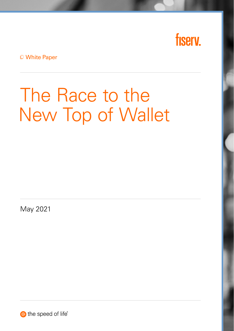

White Paper

# The Race to the New Top of Wallet

May 2021

the speed of life®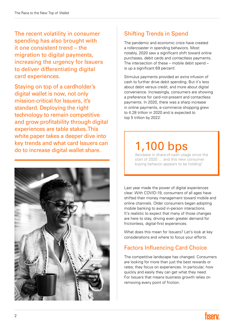The recent volatility in consumer spending has also brought with it one consistent trend – the migration to digital payments, increasing the urgency for Issuers to deliver differentiating digital card experiences.

Staying on top of a cardholder's digital wallet is now, not only mission-critical for Issuers, it's standard. Deploying the right technology to remain competitive and grow profitability through digital experiences are table stakes. This white paper takes a deeper dive into key trends and what card Issuers can do to increase digital wallet share.



#### Shifting Trends in Spend

The pandemic and economic crisis have created a rollercoaster in spending behaviors. Most notably, 2020 saw a significant shift toward online purchases, debit cards and contactless payments. The intersection of these – mobile debit spend – is up a significant 69 percent.

Stimulus payments provided an extra infusion of cash to further drive debit spending. But it's less about debit versus credit, and more about digital convenience. Increasingly, consumers are showing a preference for card-not-present and contactless payments. In 2020, there was a sharp increase in online payments, e-commerce shopping grew to 4.28 trillion in 2020 and is expected to top 5 trillion by 2022.

## 1,100 bps

decrease in share-of-cash usage since the start of 2020 … and this new consumer buying behavior appears to be holding<sup>2</sup>

Last year made the power of digital experiences clear. With COVID-19, consumers of all ages have shifted their money management toward mobile and online channels. Older consumers began adopting mobile banking to avoid in-person interactions. It's realistic to expect that many of those changes are here to stay, driving even greater demand for frictionless, digital-first experiences.

What does this mean for Issuers? Let's look at key considerations and where to focus your efforts.

#### Factors Influencing Card Choice

The competitive landscape has changed. Consumers are looking for more than just the best rewards or rates; they focus on experiences. In particular, how quickly and easily they can get what they need. For Issuers that means business growth relies on removing every point of friction.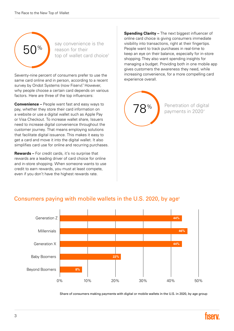

say convenience is the reason for their top of wallet card choice<sup>3</sup>

Seventy-nine percent of consumers prefer to use the same card online and in person, according to a recent survey by Ondot Systems (now Fiserv). However, why people choose a certain card depends on various factors. Here are three of the top influencers:

Convenience – People want fast and easy ways to pay, whether they store their card information on a website or use a digital wallet such as Apple Pay or Visa Checkout. To increase wallet share, Issuers need to increase digital convenience throughout the customer journey. That means employing solutions that facilitate digital issuance. This makes it easy to get a card and move it into the digital wallet. It also simplifies card use for online and recurring purchases.

Rewards – For credit cards, it's no surprise that rewards are a leading driver of card choice for online and in-store shopping. When someone wants to use credit to earn rewards, you must at least compete, even if you don't have the highest rewards rate.

Spending Clarity - The next biggest influencer of online card choice is giving consumers immediate visibility into transactions, right at their fingertips. People want to track purchases in real-time to keep an eye on their balance, especially for in-store shopping. They also want spending insights for managing a budget. Providing both in one mobile app gives customers the awareness they need, while increasing convenience, for a more compelling card experience overall.



Penetration of digital payments in 20204



#### Consumers paying with mobile wallets in the U.S. 2020, by age<sup>5</sup>

Share of consumers making payments with digital or mobile wallets in the U.S. in 2020, by age group

40%

0% 10% 20% 30% 50%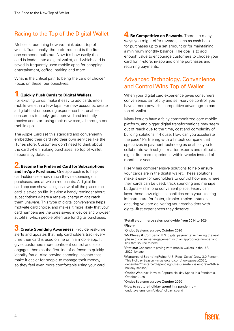#### Racing to the Top of the Digital Wallet

Mobile is redefining how we think about top of wallet. Traditionally, the preferred card is the first one someone pulls out. Now it's how easily the card is loaded into a digital wallet, and which card is saved in frequently used mobile apps for shopping, entertainment, coffee, parking and more.

What is the critical path to being the card of choice? Focus on these four objectives:

#### **1. Quickly Push Cards to Digital Wallets.**

For existing cards, make it easy to add cards into a mobile wallet in a few taps. For new accounts, create a digital-first onboarding experience that enables consumers to apply, get approved and instantly receive and start using their new card, all through one mobile app.

The Apple Card set this standard and conveniently embedded their card into their own services like the iTunes store. Customers don't need to think about the card when making purchases, so top of wallet happens by default.

**2. Become the Preferred Card for Subscriptions** 

and In-App Purchases. One approach is to help cardholders see how much they're spending on purchases, and at which merchants. A digital-first card app can show a single view of all the places the card is saved on file. It's also a handy reminder about subscriptions where a renewal charge might catch them unaware. This type of digital convenience helps motivate card choice, and makes it more likely that your card numbers are the ones saved in device and browser autofills, which people often use for digital purchases.

5. Create Spending Awareness. Provide real-time alerts and updates that help cardholders track every time their card is used online or in a mobile app. It gives customers more confident control and also engages them as the first line of defense to quickly identify fraud. Also provide spending insights that make it easier for people to manage their money, so they feel even more comfortable using your card. 4. Be Competitive on Rewards. There are many ways you might offer rewards, such as cash back for purchases up to a set amount or for maintaining a minimum monthly balance. The goal is to add enough value to encourage customers to choose your card for in-store, in-app and online purchases and recurring payments.

#### Advanced Technology, Convenience and Control Wins Top of Wallet

When your digital card experience gives consumers convenience, simplicity and self-service control, you have a more powerful competitive advantage to earn top of wallet.

Many Issuers have a fairly commoditized core mobile platform, and bigger digital transformations may seem out of reach due to the time, cost and complexity of building solutions in-house. How can you accelerate the pace? Partnering with a fintech company that specializes in payment technologies enables you to collaborate with subject matter experts and roll out a digital-first card experience within weeks instead of months or years.

Fiserv has comprehensive solutions to help ensure your cards are in the digital wallet. These solutions make it easy for cardholders to control how and where their cards can be used, track spending and manage budgets – all in one convenient place. Fiserv can layer these new digital capabilities onto your existing infrastructure for faster, simpler implementation, ensuring you are delivering your cardholders with digital-first experiences they deserve.

1 [Retail e-commerce sales worldwide from 2014 to 2024](https://www.statista.com/statistics/379046/worldwide-retail-e-commerce-sales/) [2](https://go.aciworldwide.com/2021primetime.html)Fiserv

3 Ondot Systems survey; October 2020

<sup>4</sup>McKInsey & Company: [U.S. digital payments: Achieving the next](https://www.mckinsey.com/industries/financial-services/our-insights/banking-matters/us-digital-payments-achieving-the-next-phase-of-consumer-engagement#) [phase of consumer engagement with an appropriate number and](https://www.mckinsey.com/industries/financial-services/our-insights/banking-matters/us-digital-payments-achieving-the-next-phase-of-consumer-engagement#)  [link that source to here](https://www.mckinsey.com/industries/financial-services/our-insights/banking-matters/us-digital-payments-achieving-the-next-phase-of-consumer-engagement#)

<sup>5</sup>Statista: Consumers paying with mobile wallets in the U.S. 2020, by age

- <sup>6</sup>Mastercard SpendingPulse: U.S. Retail Sales\* Grew 3.0 Percent This Holiday Season – [mastercard.com/news/press/2020/](https://www.mastercard.com/news/press/2020/december/mastercard-spendingpulse-u-s-retail-
sales-grew-3-this-holiday-season/) [december/mastercard-spendingpulse-u-s-retail-sales-grew-3-this](https://www.mastercard.com/news/press/2020/december/mastercard-spendingpulse-u-s-retail-
sales-grew-3-this-holiday-season/)[holiday-season/](https://www.mastercard.com/news/press/2020/december/mastercard-spendingpulse-u-s-retail-
sales-grew-3-this-holiday-season/)
- <sup>7</sup>Ondot Webinar: How to Capture Holiday Spend in a Pandemic, October 2020
- 8 Ondot Systems survey; October 2020
- <sup>9</sup>How to capture holiday spend in a pandemic [ondotsystems.com/video/holiday\\_spend](https://www.ondotsystems.com/video/holiday_spend)